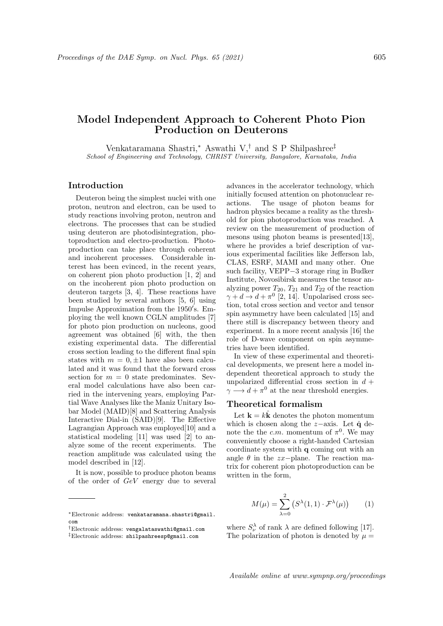# Model Independent Approach to Coherent Photo Pion Production on Deuterons

Venkataramana Shastri,<sup>∗</sup> Aswathi V,† and S P Shilpashree‡ School of Engineering and Technology, CHRIST University, Bangalore, Karnataka, India

## Introduction

Deuteron being the simplest nuclei with one proton, neutron and electron, can be used to study reactions involving proton, neutron and electrons. The processes that can be studied using deuteron are photodisintegration, photoproduction and electro-production. Photoproduction can take place through coherent and incoherent processes. Considerable interest has been evinced, in the recent years, on coherent pion photo production [1, 2] and on the incoherent pion photo production on deuteron targets [3, 4]. These reactions have been studied by several authors [5, 6] using Impulse Approximation from the 1950's. Employing the well known CGLN amplitudes [7] for photo pion production on nucleons, good agreement was obtained [6] with, the then existing experimental data. The differential cross section leading to the different final spin states with  $m = 0, \pm 1$  have also been calculated and it was found that the forward cross section for  $m = 0$  state predominates. Several model calculations have also been carried in the intervening years, employing Partial Wave Analyses like the Maniz Unitary Isobar Model (MAID)[8] and Scattering Analysis Interactive Dial-in (SAID)[9]. The Effective Lagrangian Approach was employed[10] and a statistical modeling [11] was used [2] to analyze some of the recent experiments. The reaction amplitude was calculated using the model described in [12].

It is now, possible to produce photon beams of the order of GeV energy due to several advances in the accelerator technology, which initially focused attention on photonuclear reactions. The usage of photon beams for hadron physics became a reality as the threshold for pion photoproduction was reached. A review on the measurement of production of mesons using photon beams is presented[13], where he provides a brief description of various experimental facilities like Jefferson lab, CLAS, ESRF, MAMI and many other. One such facility, VEPP−3 storage ring in Budker Institute, Novosibirsk measures the tensor analyzing power  $T_{20}$ ,  $T_{21}$  and  $T_{22}$  of the reaction  $\gamma + d \rightarrow d + \pi^0$  [2, 14]. Unpolarised cross section, total cross section and vector and tensor spin asymmetry have been calculated [15] and there still is discrepancy between theory and experiment. In a more recent analysis [16] the role of D-wave component on spin asymmetries have been identified.

In view of these experimental and theoretical developments, we present here a model independent theoretical approach to study the unpolarized differential cross section in  $d +$  $\gamma \longrightarrow d + \pi^0$  at the near threshold energies.

### Theoretical formalism

Let  $\mathbf{k} = k\mathbf{k}$  denotes the photon momentum which is chosen along the  $z$ -axis. Let  $\hat{q}$  denote the the c.m. momentum of  $\pi^0$ . We may conveniently choose a right-handed Cartesian coordinate system with q coming out with an angle  $\theta$  in the zx−plane. The reaction matrix for coherent pion photoproduction can be written in the form,

$$
M(\mu) = \sum_{\lambda=0}^{2} \left( S^{\lambda}(1,1) \cdot \mathcal{F}^{\lambda}(\mu) \right) \qquad (1)
$$

where  $S_{\nu}^{\lambda}$  of rank  $\lambda$  are defined following [17]. The polarization of photon is denoted by  $\mu =$ 

<sup>∗</sup>Electronic address: venkataramana.shastri@gmail. com

<sup>†</sup>Electronic address: vengalataswathi@gmail.com

<sup>‡</sup>Electronic address: shilpashreesp@gmail.com